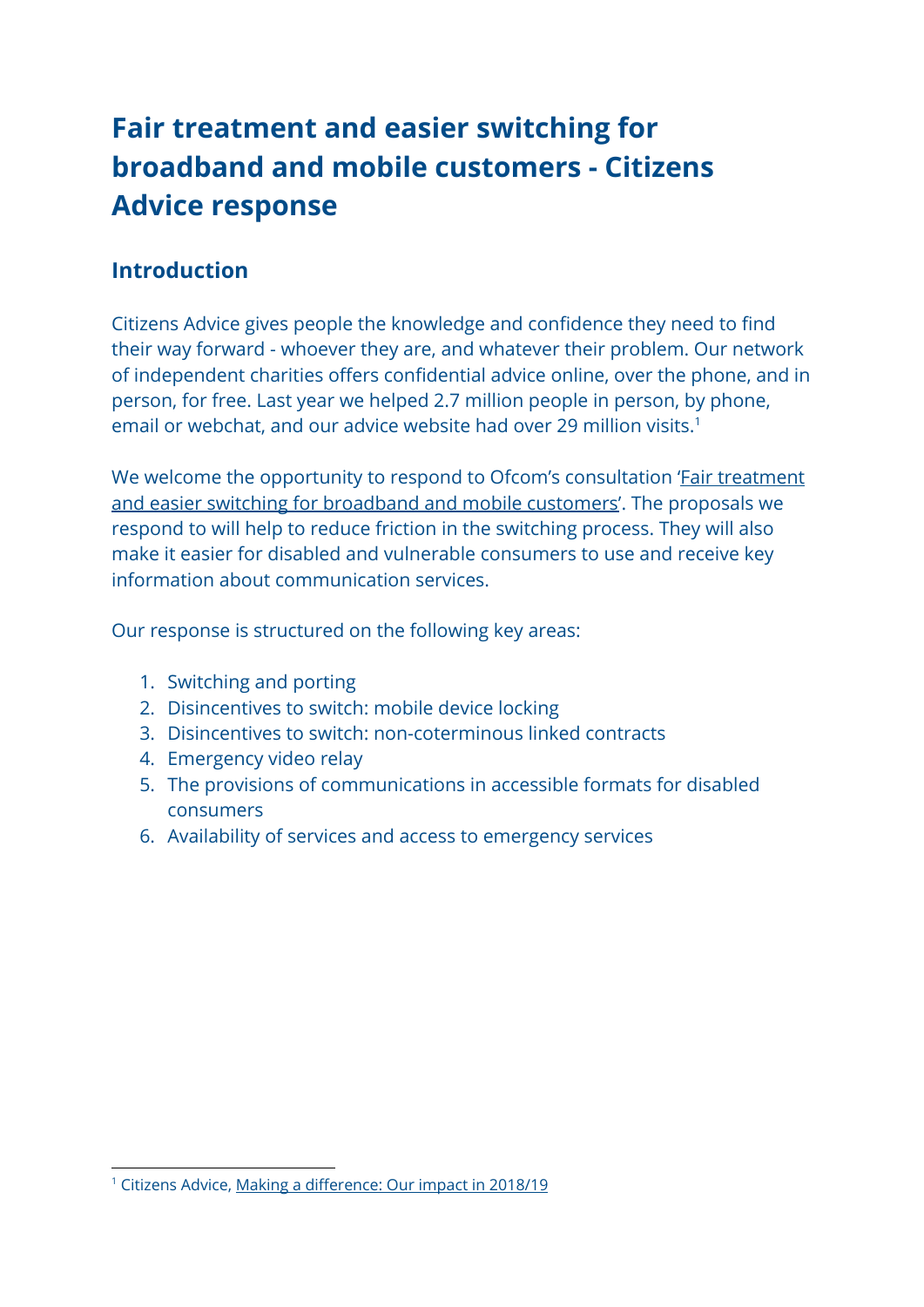# **Fair treatment and easier switching for broadband and mobile customers - Citizens Advice response**

### **Introduction**

Citizens Advice gives people the knowledge and confidence they need to find their way forward - whoever they are, and whatever their problem. Our network of independent charities offers confidential advice online, over the phone, and in person, for free. Last year we helped 2.7 million people in person, by phone, email or webchat, and our advice website had over 29 million visits.<sup>1</sup>

We welcome the opportunity to respond to Ofcom's consultation '*Fair treatment* [and easier switching for broadband and mobile customers'](https://www.ofcom.org.uk/__data/assets/pdf_file/0032/184757/consultation-proposals-to-implement-new-eecc.pdf). The proposals we respond to will help to reduce friction in the switching process. They will also make it easier for disabled and vulnerable consumers to use and receive key information about communication services.

Our response is structured on the following key areas:

- 1. Switching and porting
- 2. Disincentives to switch: mobile device locking
- 3. Disincentives to switch: non-coterminous linked contracts
- 4. Emergency video relay
- 5. The provisions of communications in accessible formats for disabled consumers
- 6. Availability of services and access to emergency services

<sup>&</sup>lt;sup>1</sup> Citizens Advice, Making a [difference:](https://www.citizensadvice.org.uk/Global/Public/ImpactReport_2019_V6.pdf) Our impact in 2018/19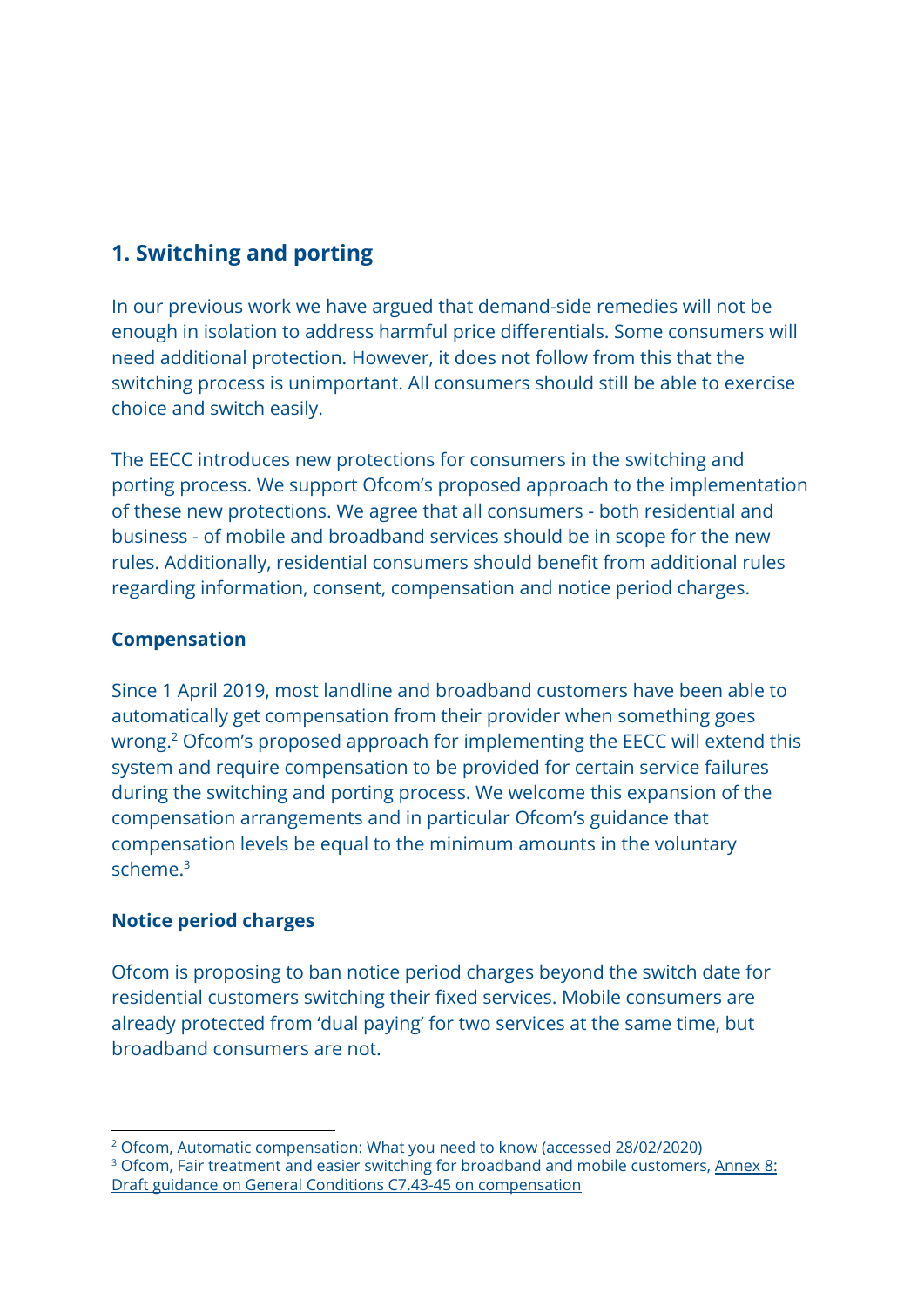# **1. Switching and porting**

In our previous work we have argued that demand-side remedies will not be enough in isolation to address harmful price differentials. Some consumers will need additional protection. However, it does not follow from this that the switching process is unimportant. All consumers should still be able to exercise choice and switch easily.

The EECC introduces new protections for consumers in the switching and porting process. We support Ofcom's proposed approach to the implementation of these new protections. We agree that all consumers - both residential and business - of mobile and broadband services should be in scope for the new rules. Additionally, residential consumers should benefit from additional rules regarding information, consent, compensation and notice period charges.

#### **Compensation**

Since 1 April 2019, most landline and broadband customers have been able to automatically get compensation from their provider when something goes wrong.<sup>2</sup> Ofcom's proposed approach for implementing the EECC will extend this system and require compensation to be provided for certain service failures during the switching and porting process. We welcome this expansion of the compensation arrangements and in particular Ofcom's guidance that compensation levels be equal to the minimum amounts in the voluntary scheme.<sup>3</sup>

#### **Notice period charges**

Ofcom is proposing to ban notice period charges beyond the switch date for residential customers switching their fixed services. Mobile consumers are already protected from 'dual paying' for two services at the same time, but broadband consumers are not.

<sup>&</sup>lt;sup>2</sup> Ofcom, **Automatic [compensation:](https://www.ofcom.org.uk/phones-telecoms-and-internet/advice-for-consumers/costs-and-billing/automatic-compensation-need-know) What you need to know** (accessed 28/02/2020) <sup>3</sup> Ofcom, Fair treatment and easier switching for broadband and mobile customers, [Annex](https://www.ofcom.org.uk/__data/assets/pdf_file/0035/184976/annex-8-eecc-consultation.pdf) 8: Draft guidance on General Conditions C7.43-45 on [compensation](https://www.ofcom.org.uk/__data/assets/pdf_file/0035/184976/annex-8-eecc-consultation.pdf)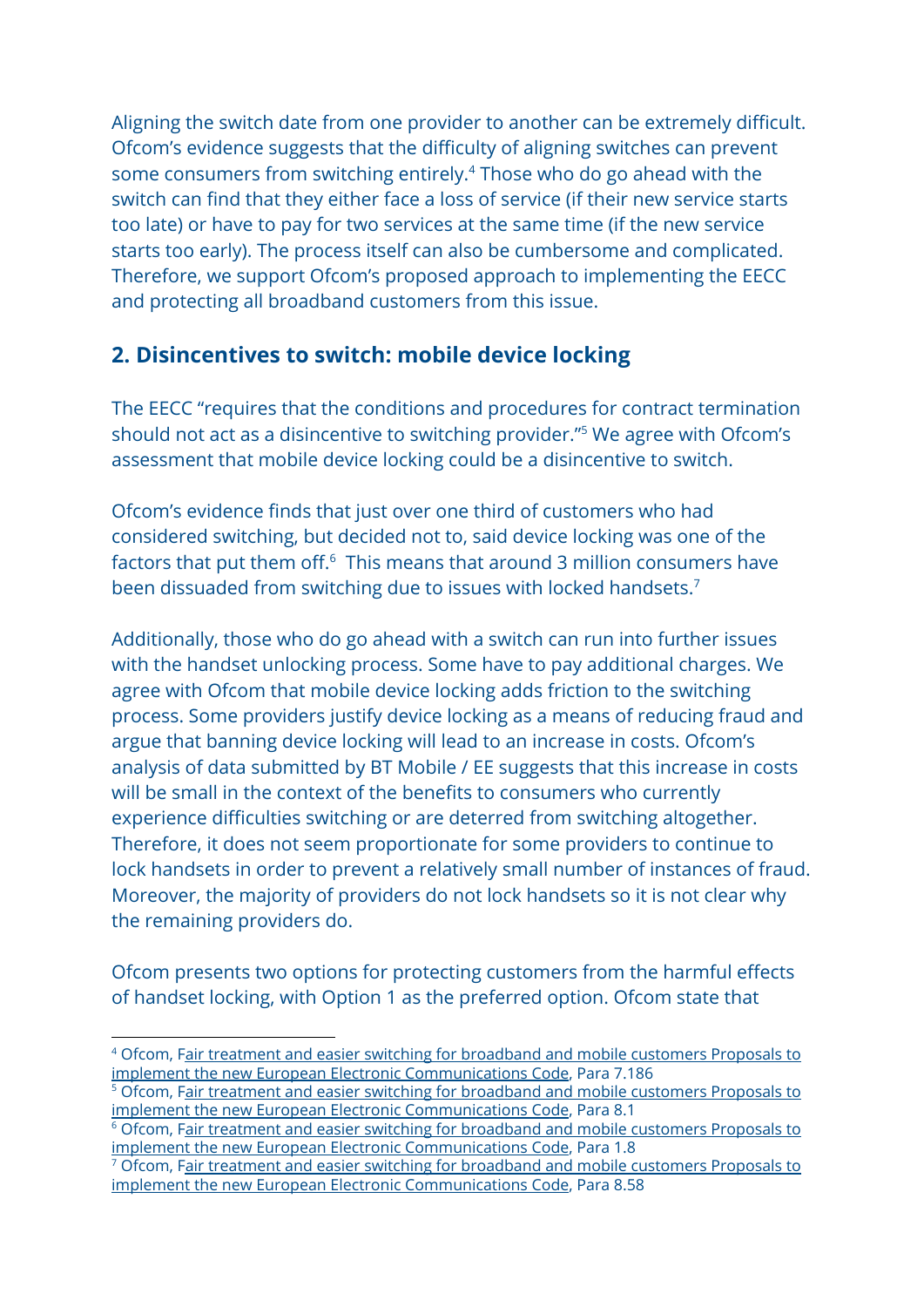Aligning the switch date from one provider to another can be extremely difficult. Ofcom's evidence suggests that the difficulty of aligning switches can prevent some consumers from switching entirely.<sup>4</sup> Those who do go ahead with the switch can find that they either face a loss of service (if their new service starts too late) or have to pay for two services at the same time (if the new service starts too early). The process itself can also be cumbersome and complicated. Therefore, we support Ofcom's proposed approach to implementing the EECC and protecting all broadband customers from this issue.

### **2. Disincentives to switch: mobile device locking**

The EECC "requires that the conditions and procedures for contract termination should not act as a disincentive to switching provider."<sup>5</sup> We agree with Ofcom's assessment that mobile device locking could be a disincentive to switch.

Ofcom's evidence finds that just over one third of customers who had considered switching, but decided not to, said device locking was one of the factors that put them off. $6$  This means that around 3 million consumers have been dissuaded from switching due to issues with locked handsets.<sup>7</sup>

Additionally, those who do go ahead with a switch can run into further issues with the handset unlocking process. Some have to pay additional charges. We agree with Ofcom that mobile device locking adds friction to the switching process. Some providers justify device locking as a means of reducing fraud and argue that banning device locking will lead to an increase in costs. Ofcom's analysis of data submitted by BT Mobile / EE suggests that this increase in costs will be small in the context of the benefits to consumers who currently experience difficulties switching or are deterred from switching altogether. Therefore, it does not seem proportionate for some providers to continue to lock handsets in order to prevent a relatively small number of instances of fraud. Moreover, the majority of providers do not lock handsets so it is not clear why the remaining providers do.

Ofcom presents two options for protecting customers from the harmful effects of handset locking, with Option 1 as the preferred option. Ofcom state that

<sup>4</sup> Ofcom, Fair treatment and easier switching for [broadband](https://www.ofcom.org.uk/__data/assets/pdf_file/0032/184757/consultation-proposals-to-implement-new-eecc.pdf) and mobile customers Proposals to implement the new European Electronic [Communications](https://www.ofcom.org.uk/__data/assets/pdf_file/0032/184757/consultation-proposals-to-implement-new-eecc.pdf) Code, Para 7.186

<sup>&</sup>lt;sup>5</sup> Ofcom, Fair treatment and easier switching for [broadband](https://www.ofcom.org.uk/__data/assets/pdf_file/0032/184757/consultation-proposals-to-implement-new-eecc.pdf) and mobile customers Proposals to implement the new European Electronic [Communications](https://www.ofcom.org.uk/__data/assets/pdf_file/0032/184757/consultation-proposals-to-implement-new-eecc.pdf) Code, Para 8.1

<sup>&</sup>lt;sup>6</sup> Ofcom, Fair treatment and easier switching for [broadband](https://www.ofcom.org.uk/__data/assets/pdf_file/0032/184757/consultation-proposals-to-implement-new-eecc.pdf) and mobile customers Proposals to implement the new European Electronic [Communications](https://www.ofcom.org.uk/__data/assets/pdf_file/0032/184757/consultation-proposals-to-implement-new-eecc.pdf) Code, Para 1.8

<sup>&</sup>lt;sup>7</sup> Ofcom, Fair treatment and easier switching for [broadband](https://www.ofcom.org.uk/__data/assets/pdf_file/0032/184757/consultation-proposals-to-implement-new-eecc.pdf) and mobile customers Proposals to implement the new European Electronic [Communications](https://www.ofcom.org.uk/__data/assets/pdf_file/0032/184757/consultation-proposals-to-implement-new-eecc.pdf) Code, Para 8.58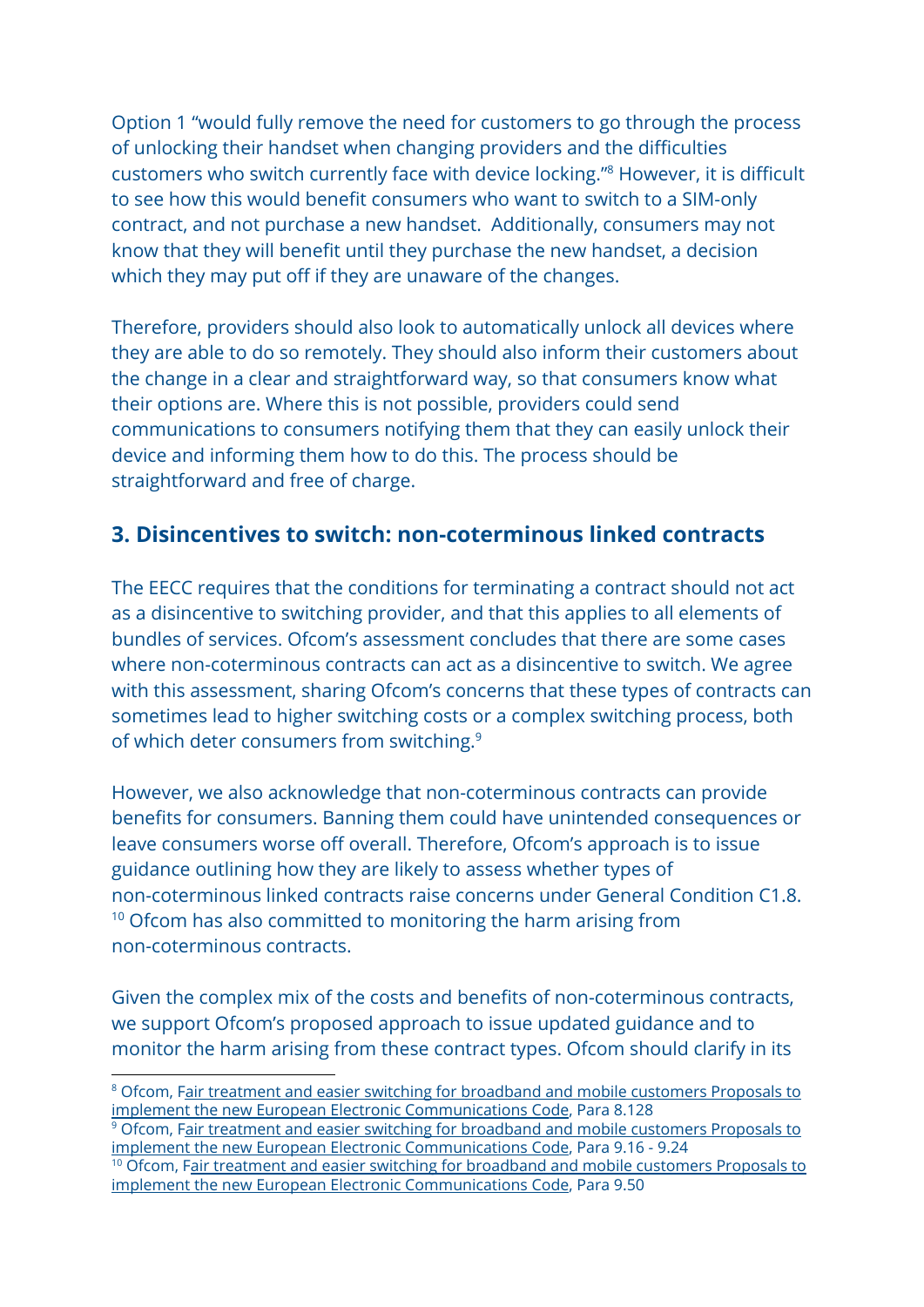Option 1 "would fully remove the need for customers to go through the process of unlocking their handset when changing providers and the difficulties customers who switch currently face with device locking."<sup>8</sup> However, it is difficult to see how this would benefit consumers who want to switch to a SIM-only contract, and not purchase a new handset. Additionally, consumers may not know that they will benefit until they purchase the new handset, a decision which they may put off if they are unaware of the changes.

Therefore, providers should also look to automatically unlock all devices where they are able to do so remotely. They should also inform their customers about the change in a clear and straightforward way, so that consumers know what their options are. Where this is not possible, providers could send communications to consumers notifying them that they can easily unlock their device and informing them how to do this. The process should be straightforward and free of charge.

### **3. Disincentives to switch: non-coterminous linked contracts**

The EECC requires that the conditions for terminating a contract should not act as a disincentive to switching provider, and that this applies to all elements of bundles of services. Ofcom's assessment concludes that there are some cases where non-coterminous contracts can act as a disincentive to switch. We agree with this assessment, sharing Ofcom's concerns that these types of contracts can sometimes lead to higher switching costs or a complex switching process, both of which deter consumers from switching.<sup>9</sup>

However, we also acknowledge that non-coterminous contracts can provide benefits for consumers. Banning them could have unintended consequences or leave consumers worse off overall. Therefore, Ofcom's approach is to issue guidance outlining how they are likely to assess whether types of non-coterminous linked contracts raise concerns under General Condition C1.8. <sup>10</sup> Ofcom has also committed to monitoring the harm arising from non-coterminous contracts.

Given the complex mix of the costs and benefits of non-coterminous contracts, we support Ofcom's proposed approach to issue updated guidance and to monitor the harm arising from these contract types. Ofcom should clarify in its

<sup>&</sup>lt;sup>8</sup> Ofcom, Fair treatment and easier switching for [broadband](https://www.ofcom.org.uk/__data/assets/pdf_file/0032/184757/consultation-proposals-to-implement-new-eecc.pdf) and mobile customers Proposals to implement the new European Electronic [Communications](https://www.ofcom.org.uk/__data/assets/pdf_file/0032/184757/consultation-proposals-to-implement-new-eecc.pdf) Code, Para 8.128

<sup>&</sup>lt;sup>9</sup> Ofcom, Fair treatment and easier switching for [broadband](https://www.ofcom.org.uk/__data/assets/pdf_file/0032/184757/consultation-proposals-to-implement-new-eecc.pdf) and mobile customers Proposals to implement the new European Electronic [Communications](https://www.ofcom.org.uk/__data/assets/pdf_file/0032/184757/consultation-proposals-to-implement-new-eecc.pdf) Code, Para 9.16 - 9.24

<sup>&</sup>lt;sup>10</sup> Ofcom, Fair treatment and easier switching for [broadband](https://www.ofcom.org.uk/__data/assets/pdf_file/0032/184757/consultation-proposals-to-implement-new-eecc.pdf) and mobile customers Proposals to implement the new European Electronic [Communications](https://www.ofcom.org.uk/__data/assets/pdf_file/0032/184757/consultation-proposals-to-implement-new-eecc.pdf) Code, Para 9.50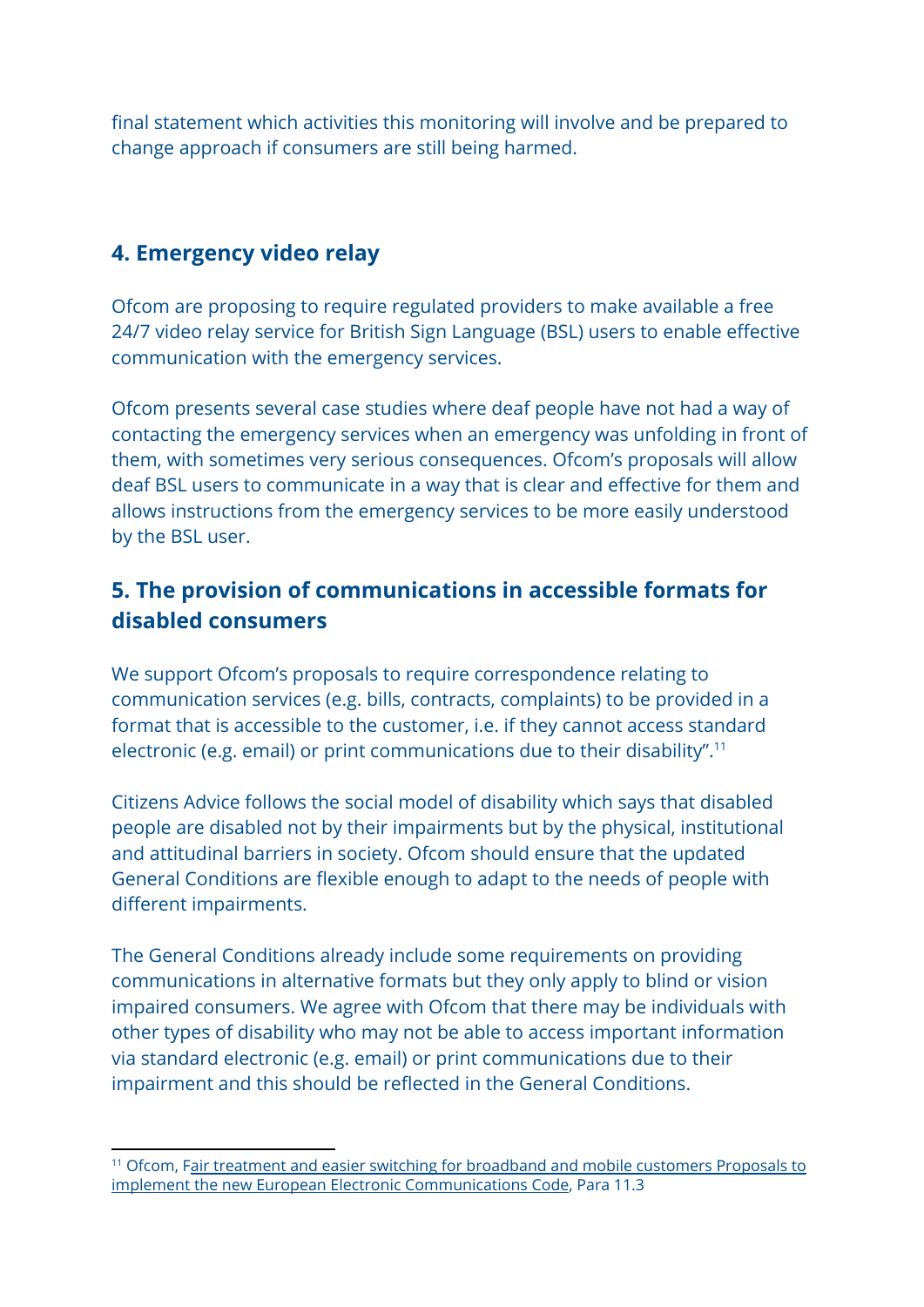final statement which activities this monitoring will involve and be prepared to change approach if consumers are still being harmed.

### **4. Emergency video relay**

Ofcom are proposing to require regulated providers to make available a free 24/7 video relay service for British Sign Language (BSL) users to enable effective communication with the emergency services.

Ofcom presents several case studies where deaf people have not had a way of contacting the emergency services when an emergency was unfolding in front of them, with sometimes very serious consequences. Ofcom's proposals will allow deaf BSL users to communicate in a way that is clear and effective for them and allows instructions from the emergency services to be more easily understood by the BSL user.

# **5. The provision of communications in accessible formats for disabled consumers**

We support Ofcom's proposals to require correspondence relating to communication services (e.g. bills, contracts, complaints) to be provided in a format that is accessible to the customer, i.e. if they cannot access standard electronic (e.g. email) or print communications due to their disability".<sup>11</sup>

Citizens Advice follows the social model of disability which says that disabled people are disabled not by their impairments but by the physical, institutional and attitudinal barriers in society. Ofcom should ensure that the updated General Conditions are flexible enough to adapt to the needs of people with different impairments.

The General Conditions already include some requirements on providing communications in alternative formats but they only apply to blind or vision impaired consumers. We agree with Ofcom that there may be individuals with other types of disability who may not be able to access important information via standard electronic (e.g. email) or print communications due to their impairment and this should be reflected in the General Conditions.

<sup>&</sup>lt;sup>11</sup> Ofcom, Fair treatment and easier switching for [broadband](https://www.ofcom.org.uk/__data/assets/pdf_file/0032/184757/consultation-proposals-to-implement-new-eecc.pdf) and mobile customers Proposals to implement the new European Electronic [Communications](https://www.ofcom.org.uk/__data/assets/pdf_file/0032/184757/consultation-proposals-to-implement-new-eecc.pdf) Code, Para 11.3